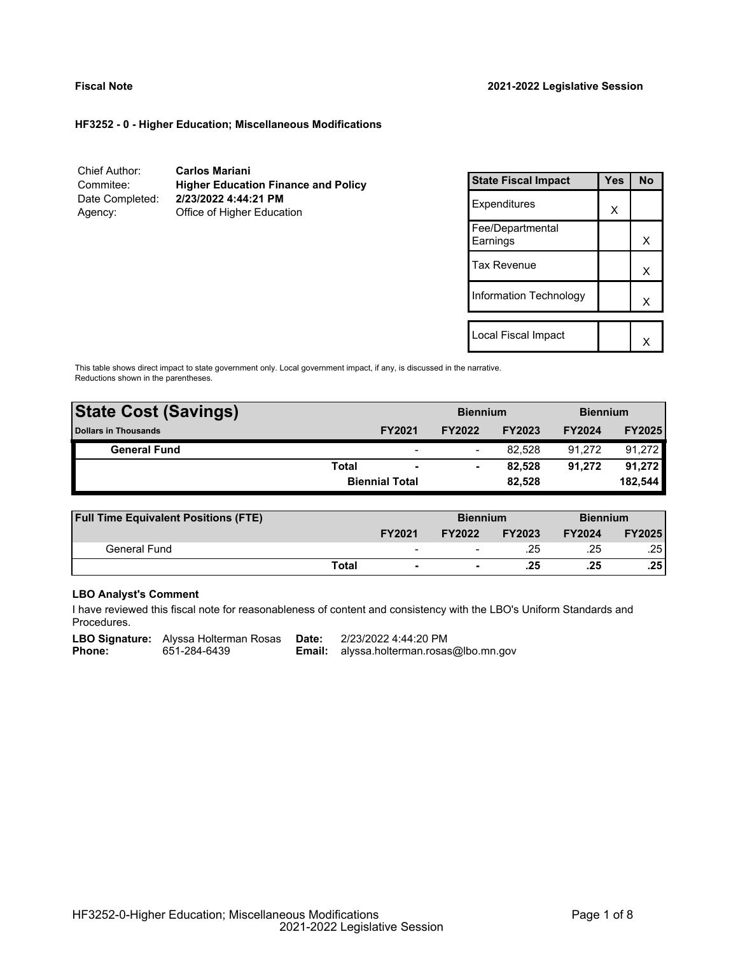#### **HF3252 - 0 - Higher Education; Miscellaneous Modifications**

| Chief Author:   | <b>Carlos Mariani</b>                      |
|-----------------|--------------------------------------------|
| Commitee:       | <b>Higher Education Finance and Policy</b> |
| Date Completed: | 2/23/2022 4:44:21 PM                       |
| Agency:         | Office of Higher Education                 |

| <b>State Fiscal Impact</b>   | Yes | <b>No</b> |
|------------------------------|-----|-----------|
| Expenditures                 | X   |           |
| Fee/Departmental<br>Earnings |     | x         |
| <b>Tax Revenue</b>           |     | x         |
| Information Technology       |     | x         |
| Local Fiscal Impact          |     |           |
|                              |     |           |

This table shows direct impact to state government only. Local government impact, if any, is discussed in the narrative. Reductions shown in the parentheses.

| <b>State Cost (Savings)</b> |              | <b>Biennium</b>       |               | <b>Biennium</b> |               |               |
|-----------------------------|--------------|-----------------------|---------------|-----------------|---------------|---------------|
| <b>Dollars in Thousands</b> |              | <b>FY2021</b>         | <b>FY2022</b> | <b>FY2023</b>   | <b>FY2024</b> | <b>FY2025</b> |
| <b>General Fund</b>         |              | -                     | -             | 82.528          | 91.272        | 91,272        |
|                             | <b>Total</b> | -                     | -             | 82.528          | 91.272        | 91,272        |
|                             |              | <b>Biennial Total</b> |               | 82,528          |               | 182,544       |
|                             |              |                       |               |                 |               |               |

| <b>Full Time Equivalent Positions (FTE)</b> |       |                | <b>Biennium</b> |               | <b>Biennium</b> |                  |
|---------------------------------------------|-------|----------------|-----------------|---------------|-----------------|------------------|
|                                             |       | <b>FY2021</b>  | <b>FY2022</b>   | <b>FY2023</b> | <b>FY2024</b>   | <b>FY2025</b>    |
| General Fund                                |       | $\,$           |                 | .25           | .25             | .251             |
|                                             | Total | $\blacksquare$ |                 | .25           | .25             | .25 <sup>1</sup> |

# **LBO Analyst's Comment**

I have reviewed this fiscal note for reasonableness of content and consistency with the LBO's Uniform Standards and Procedures.

**LBO Signature:** Alyssa Holterman Rosas **Date:** 2/23/2022 4:44:20 PM<br>**Phone:** 651-284-6439 **Email:** alyssa.holterman.rosas

**Email:** alyssa.holterman.rosas@lbo.mn.gov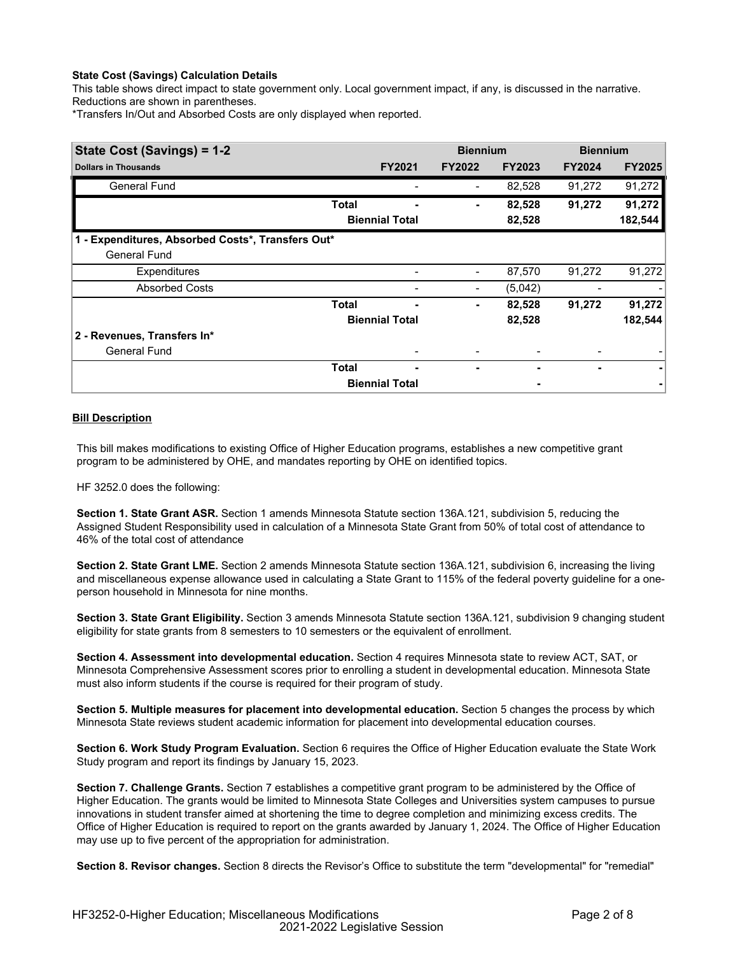# **State Cost (Savings) Calculation Details**

This table shows direct impact to state government only. Local government impact, if any, is discussed in the narrative. Reductions are shown in parentheses.

\*Transfers In/Out and Absorbed Costs are only displayed when reported.

| State Cost (Savings) = 1-2                        |              |                       | <b>Biennium</b> |               | <b>Biennium</b> |               |
|---------------------------------------------------|--------------|-----------------------|-----------------|---------------|-----------------|---------------|
| <b>Dollars in Thousands</b>                       |              | <b>FY2021</b>         | <b>FY2022</b>   | <b>FY2023</b> | <b>FY2024</b>   | <b>FY2025</b> |
| <b>General Fund</b>                               |              |                       |                 | 82,528        | 91,272          | 91,272        |
|                                                   | <b>Total</b> |                       |                 | 82,528        | 91,272          | 91,272        |
|                                                   |              | <b>Biennial Total</b> |                 | 82,528        |                 | 182,544       |
| 1 - Expenditures, Absorbed Costs*, Transfers Out* |              |                       |                 |               |                 |               |
| <b>General Fund</b>                               |              |                       |                 |               |                 |               |
| <b>Expenditures</b>                               |              |                       |                 | 87,570        | 91,272          | 91,272        |
| <b>Absorbed Costs</b>                             |              |                       |                 | (5,042)       |                 |               |
|                                                   | <b>Total</b> |                       | ٠               | 82,528        | 91,272          | 91,272        |
|                                                   |              | <b>Biennial Total</b> |                 | 82,528        |                 | 182,544       |
| 2 - Revenues, Transfers In*                       |              |                       |                 |               |                 |               |
| <b>General Fund</b>                               |              |                       |                 |               |                 |               |
|                                                   | <b>Total</b> | -                     |                 |               |                 |               |
|                                                   |              | <b>Biennial Total</b> |                 |               |                 |               |

# **Bill Description**

This bill makes modifications to existing Office of Higher Education programs, establishes a new competitive grant program to be administered by OHE, and mandates reporting by OHE on identified topics.

HF 3252.0 does the following:

**Section 1. State Grant ASR.** Section 1 amends Minnesota Statute section 136A.121, subdivision 5, reducing the Assigned Student Responsibility used in calculation of a Minnesota State Grant from 50% of total cost of attendance to 46% of the total cost of attendance

**Section 2. State Grant LME.** Section 2 amends Minnesota Statute section 136A.121, subdivision 6, increasing the living and miscellaneous expense allowance used in calculating a State Grant to 115% of the federal poverty guideline for a oneperson household in Minnesota for nine months.

**Section 3. State Grant Eligibility.** Section 3 amends Minnesota Statute section 136A.121, subdivision 9 changing student eligibility for state grants from 8 semesters to 10 semesters or the equivalent of enrollment.

**Section 4. Assessment into developmental education.** Section 4 requires Minnesota state to review ACT, SAT, or Minnesota Comprehensive Assessment scores prior to enrolling a student in developmental education. Minnesota State must also inform students if the course is required for their program of study.

**Section 5. Multiple measures for placement into developmental education.** Section 5 changes the process by which Minnesota State reviews student academic information for placement into developmental education courses.

**Section 6. Work Study Program Evaluation.** Section 6 requires the Office of Higher Education evaluate the State Work Study program and report its findings by January 15, 2023.

**Section 7. Challenge Grants.** Section 7 establishes a competitive grant program to be administered by the Office of Higher Education. The grants would be limited to Minnesota State Colleges and Universities system campuses to pursue innovations in student transfer aimed at shortening the time to degree completion and minimizing excess credits. The Office of Higher Education is required to report on the grants awarded by January 1, 2024. The Office of Higher Education may use up to five percent of the appropriation for administration.

**Section 8. Revisor changes.** Section 8 directs the Revisor's Office to substitute the term "developmental" for "remedial"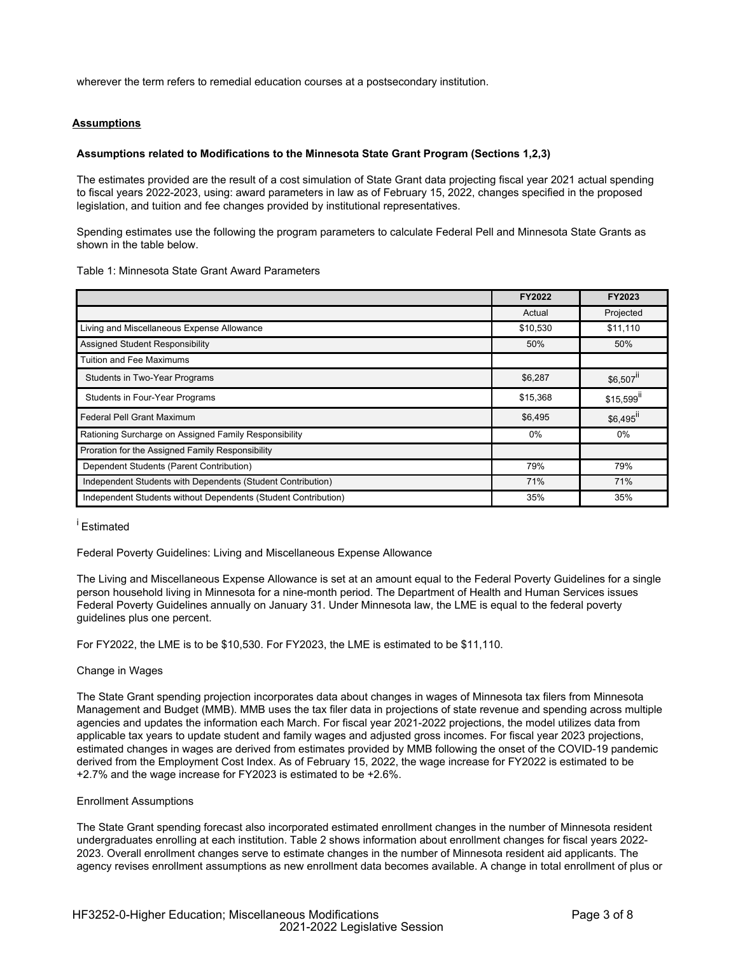wherever the term refers to remedial education courses at a postsecondary institution.

#### **Assumptions**

#### **Assumptions related to Modifications to the Minnesota State Grant Program (Sections 1,2,3)**

The estimates provided are the result of a cost simulation of State Grant data projecting fiscal year 2021 actual spending to fiscal years 2022-2023, using: award parameters in law as of February 15, 2022, changes specified in the proposed legislation, and tuition and fee changes provided by institutional representatives.

Spending estimates use the following the program parameters to calculate Federal Pell and Minnesota State Grants as shown in the table below.

| Table 1: Minnesota State Grant Award Parameters |  |  |
|-------------------------------------------------|--|--|
|-------------------------------------------------|--|--|

|                                                                | FY2022   | FY2023                  |
|----------------------------------------------------------------|----------|-------------------------|
|                                                                | Actual   | Projected               |
| Living and Miscellaneous Expense Allowance                     | \$10,530 | \$11,110                |
| Assigned Student Responsibility                                | 50%      | 50%                     |
| <b>Tuition and Fee Maximums</b>                                |          |                         |
| <b>Students in Two-Year Programs</b>                           | \$6,287  | \$6,507 <sup>ii</sup>   |
| <b>Students in Four-Year Programs</b>                          | \$15,368 | $$15,599$ <sup>II</sup> |
| <b>Federal Pell Grant Maximum</b>                              | \$6,495  | $$6,495$ <sup>ii</sup>  |
| Rationing Surcharge on Assigned Family Responsibility          | $0\%$    | 0%                      |
| Proration for the Assigned Family Responsibility               |          |                         |
| Dependent Students (Parent Contribution)                       | 79%      | 79%                     |
| Independent Students with Dependents (Student Contribution)    | 71%      | 71%                     |
| Independent Students without Dependents (Student Contribution) | 35%      | 35%                     |

# <sup>i</sup> Estimated

Federal Poverty Guidelines: Living and Miscellaneous Expense Allowance

The Living and Miscellaneous Expense Allowance is set at an amount equal to the Federal Poverty Guidelines for a single person household living in Minnesota for a nine-month period. The Department of Health and Human Services issues Federal Poverty Guidelines annually on January 31. Under Minnesota law, the LME is equal to the federal poverty guidelines plus one percent.

For FY2022, the LME is to be \$10,530. For FY2023, the LME is estimated to be \$11,110.

#### Change in Wages

The State Grant spending projection incorporates data about changes in wages of Minnesota tax filers from Minnesota Management and Budget (MMB). MMB uses the tax filer data in projections of state revenue and spending across multiple agencies and updates the information each March. For fiscal year 2021-2022 projections, the model utilizes data from applicable tax years to update student and family wages and adjusted gross incomes. For fiscal year 2023 projections, estimated changes in wages are derived from estimates provided by MMB following the onset of the COVID-19 pandemic derived from the Employment Cost Index. As of February 15, 2022, the wage increase for FY2022 is estimated to be +2.7% and the wage increase for FY2023 is estimated to be +2.6%.

#### Enrollment Assumptions

The State Grant spending forecast also incorporated estimated enrollment changes in the number of Minnesota resident undergraduates enrolling at each institution. Table 2 shows information about enrollment changes for fiscal years 2022- 2023. Overall enrollment changes serve to estimate changes in the number of Minnesota resident aid applicants. The agency revises enrollment assumptions as new enrollment data becomes available. A change in total enrollment of plus or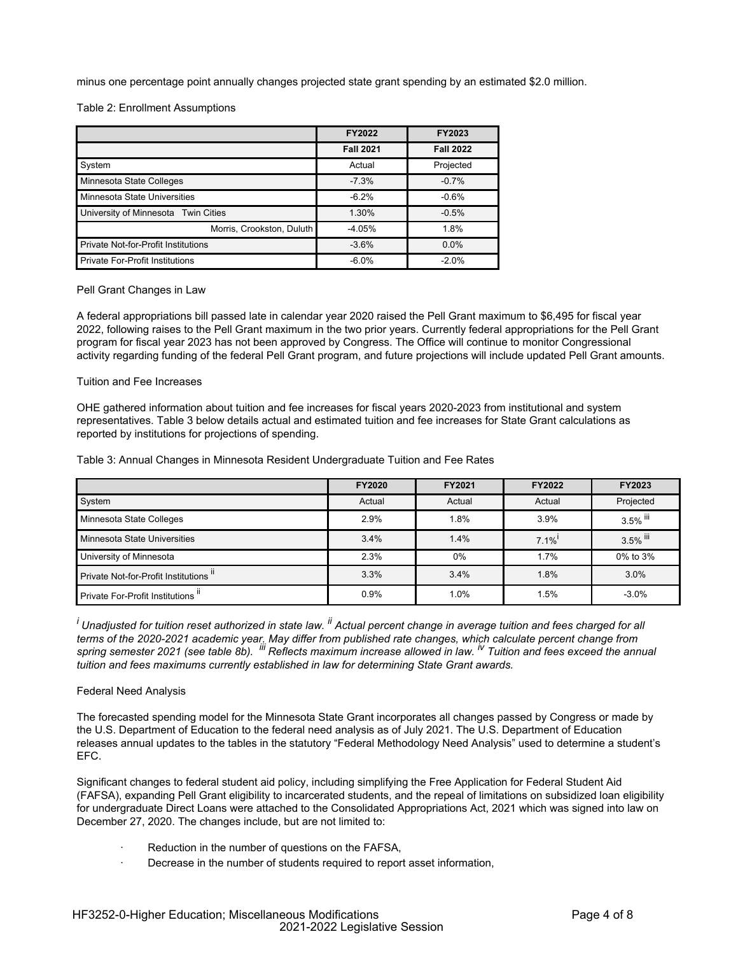minus one percentage point annually changes projected state grant spending by an estimated \$2.0 million.

Table 2: Enrollment Assumptions

|                                            | FY2022           | FY2023           |
|--------------------------------------------|------------------|------------------|
|                                            | <b>Fall 2021</b> | <b>Fall 2022</b> |
| System                                     | Actual           | Projected        |
| Minnesota State Colleges                   | $-7.3%$          | $-0.7%$          |
| Minnesota State Universities               | $-6.2%$          | $-0.6%$          |
| University of Minnesota Twin Cities        | 1.30%            | $-0.5%$          |
| Morris, Crookston, Duluth                  | $-4.05%$         | 1.8%             |
| <b>Private Not-for-Profit Institutions</b> | $-3.6%$          | $0.0\%$          |
| <b>Private For-Profit Institutions</b>     | $-6.0%$          | $-2.0%$          |

Pell Grant Changes in Law

A federal appropriations bill passed late in calendar year 2020 raised the Pell Grant maximum to \$6,495 for fiscal year 2022, following raises to the Pell Grant maximum in the two prior years. Currently federal appropriations for the Pell Grant program for fiscal year 2023 has not been approved by Congress. The Office will continue to monitor Congressional activity regarding funding of the federal Pell Grant program, and future projections will include updated Pell Grant amounts.

#### Tuition and Fee Increases

OHE gathered information about tuition and fee increases for fiscal years 2020-2023 from institutional and system representatives. Table 3 below details actual and estimated tuition and fee increases for State Grant calculations as reported by institutions for projections of spending.

Table 3: Annual Changes in Minnesota Resident Undergraduate Tuition and Fee Rates

|                                       | <b>FY2020</b> | FY2021 | <b>FY2022</b> | <b>FY2023</b> |
|---------------------------------------|---------------|--------|---------------|---------------|
| System                                | Actual        | Actual | Actual        | Projected     |
| Minnesota State Colleges              | 2.9%          | 1.8%   | 3.9%          | $3.5\%$ iii   |
| Minnesota State Universities          | 3.4%          | 1.4%   | $7.1\%$       | 3.5% iii      |
| University of Minnesota               | 2.3%          | 0%     | 1.7%          | 0% to 3%      |
| Private Not-for-Profit Institutions " | 3.3%          | 3.4%   | 1.8%          | 3.0%          |
| Private For-Profit Institutions II    | 0.9%          | 1.0%   | 1.5%          | $-3.0\%$      |

*<sup>i</sup> Unadjusted for tuition reset authorized in state law. ii Actual percent change in average tuition and fees charged for all* terms of the 2020-2021 academic year. May differ from published rate changes, which calculate percent change from<br>spring semester 2021 (see table 8b). <sup>iii</sup> Reflects maximum increase allowed in law. <sup>iv</sup> Tuition and fees e *tuition and fees maximums currently established in law for determining State Grant awards.*

#### Federal Need Analysis

The forecasted spending model for the Minnesota State Grant incorporates all changes passed by Congress or made by the U.S. Department of Education to the federal need analysis as of July 2021. The U.S. Department of Education releases annual updates to the tables in the statutory "Federal Methodology Need Analysis" used to determine a student's EFC.

Significant changes to federal student aid policy, including simplifying the Free Application for Federal Student Aid (FAFSA), expanding Pell Grant eligibility to incarcerated students, and the repeal of limitations on subsidized loan eligibility for undergraduate Direct Loans were attached to the Consolidated Appropriations Act, 2021 which was signed into law on December 27, 2020. The changes include, but are not limited to:

- Reduction in the number of questions on the FAFSA,
- Decrease in the number of students required to report asset information,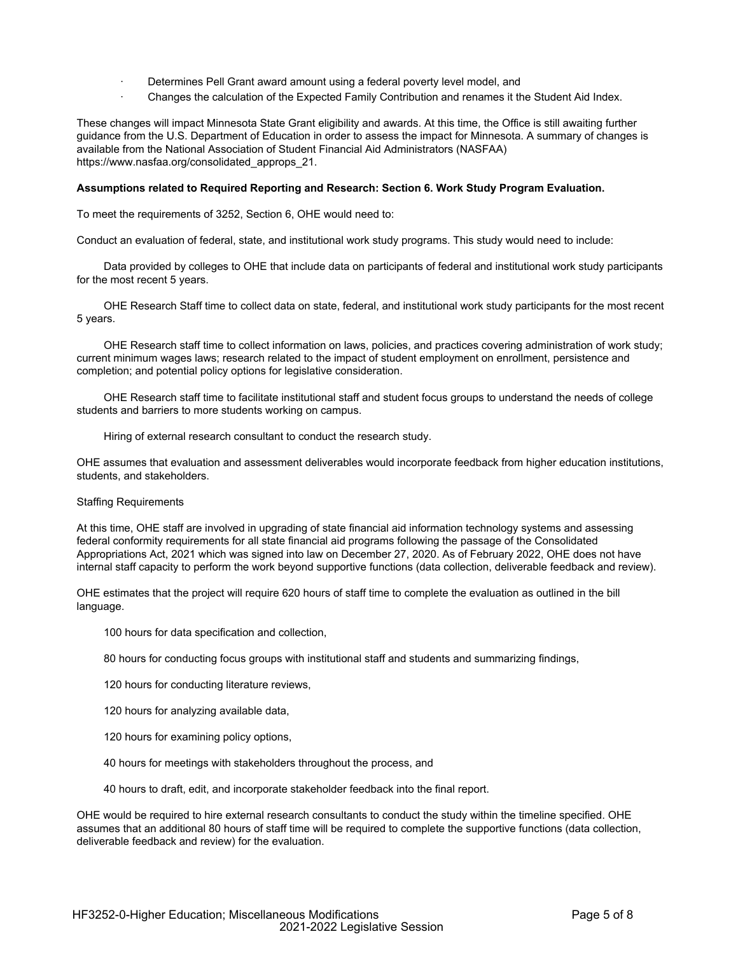- Determines Pell Grant award amount using a federal poverty level model, and
- · Changes the calculation of the Expected Family Contribution and renames it the Student Aid Index.

These changes will impact Minnesota State Grant eligibility and awards. At this time, the Office is still awaiting further guidance from the U.S. Department of Education in order to assess the impact for Minnesota. A summary of changes is available from the National Association of Student Financial Aid Administrators (NASFAA) https://www.nasfaa.org/consolidated\_approps\_21.

#### **Assumptions related to Required Reporting and Research: Section 6. Work Study Program Evaluation.**

To meet the requirements of 3252, Section 6, OHE would need to:

Conduct an evaluation of federal, state, and institutional work study programs. This study would need to include:

 Data provided by colleges to OHE that include data on participants of federal and institutional work study participants for the most recent 5 years.

 OHE Research Staff time to collect data on state, federal, and institutional work study participants for the most recent 5 years.

 OHE Research staff time to collect information on laws, policies, and practices covering administration of work study; current minimum wages laws; research related to the impact of student employment on enrollment, persistence and completion; and potential policy options for legislative consideration.

 OHE Research staff time to facilitate institutional staff and student focus groups to understand the needs of college students and barriers to more students working on campus.

Hiring of external research consultant to conduct the research study.

OHE assumes that evaluation and assessment deliverables would incorporate feedback from higher education institutions, students, and stakeholders.

#### Staffing Requirements

At this time, OHE staff are involved in upgrading of state financial aid information technology systems and assessing federal conformity requirements for all state financial aid programs following the passage of the Consolidated Appropriations Act, 2021 which was signed into law on December 27, 2020. As of February 2022, OHE does not have internal staff capacity to perform the work beyond supportive functions (data collection, deliverable feedback and review).

OHE estimates that the project will require 620 hours of staff time to complete the evaluation as outlined in the bill language.

100 hours for data specification and collection,

80 hours for conducting focus groups with institutional staff and students and summarizing findings,

120 hours for conducting literature reviews,

120 hours for analyzing available data,

120 hours for examining policy options,

40 hours for meetings with stakeholders throughout the process, and

40 hours to draft, edit, and incorporate stakeholder feedback into the final report.

OHE would be required to hire external research consultants to conduct the study within the timeline specified. OHE assumes that an additional 80 hours of staff time will be required to complete the supportive functions (data collection, deliverable feedback and review) for the evaluation.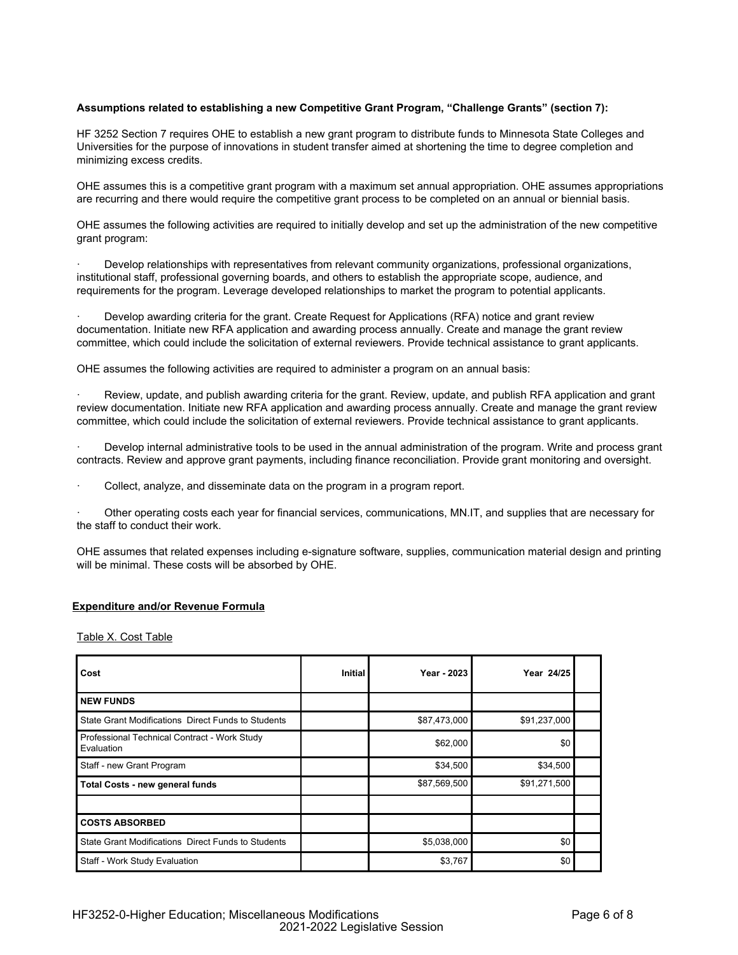# **Assumptions related to establishing a new Competitive Grant Program, "Challenge Grants" (section 7):**

HF 3252 Section 7 requires OHE to establish a new grant program to distribute funds to Minnesota State Colleges and Universities for the purpose of innovations in student transfer aimed at shortening the time to degree completion and minimizing excess credits.

OHE assumes this is a competitive grant program with a maximum set annual appropriation. OHE assumes appropriations are recurring and there would require the competitive grant process to be completed on an annual or biennial basis.

OHE assumes the following activities are required to initially develop and set up the administration of the new competitive grant program:

· Develop relationships with representatives from relevant community organizations, professional organizations, institutional staff, professional governing boards, and others to establish the appropriate scope, audience, and requirements for the program. Leverage developed relationships to market the program to potential applicants.

Develop awarding criteria for the grant. Create Request for Applications (RFA) notice and grant review documentation. Initiate new RFA application and awarding process annually. Create and manage the grant review committee, which could include the solicitation of external reviewers. Provide technical assistance to grant applicants.

OHE assumes the following activities are required to administer a program on an annual basis:

Review, update, and publish awarding criteria for the grant. Review, update, and publish RFA application and grant review documentation. Initiate new RFA application and awarding process annually. Create and manage the grant review committee, which could include the solicitation of external reviewers. Provide technical assistance to grant applicants.

Develop internal administrative tools to be used in the annual administration of the program. Write and process grant contracts. Review and approve grant payments, including finance reconciliation. Provide grant monitoring and oversight.

Collect, analyze, and disseminate data on the program in a program report.

· Other operating costs each year for financial services, communications, MN.IT, and supplies that are necessary for the staff to conduct their work.

OHE assumes that related expenses including e-signature software, supplies, communication material design and printing will be minimal. These costs will be absorbed by OHE.

#### **Expenditure and/or Revenue Formula**

Table X. Cost Table

| Cost                                                       | Initial | Year - 2023  | Year 24/25   |  |
|------------------------------------------------------------|---------|--------------|--------------|--|
| <b>NEW FUNDS</b>                                           |         |              |              |  |
| State Grant Modifications Direct Funds to Students         |         | \$87,473,000 | \$91,237,000 |  |
| Professional Technical Contract - Work Study<br>Evaluation |         | \$62,000     | \$0          |  |
| Staff - new Grant Program                                  |         | \$34,500     | \$34,500     |  |
| <b>Total Costs - new general funds</b>                     |         | \$87,569,500 | \$91,271,500 |  |
|                                                            |         |              |              |  |
| <b>COSTS ABSORBED</b>                                      |         |              |              |  |
| <b>State Grant Modifications Direct Funds to Students</b>  |         | \$5,038,000  | \$0          |  |
| Staff - Work Study Evaluation                              |         | \$3,767      | \$0          |  |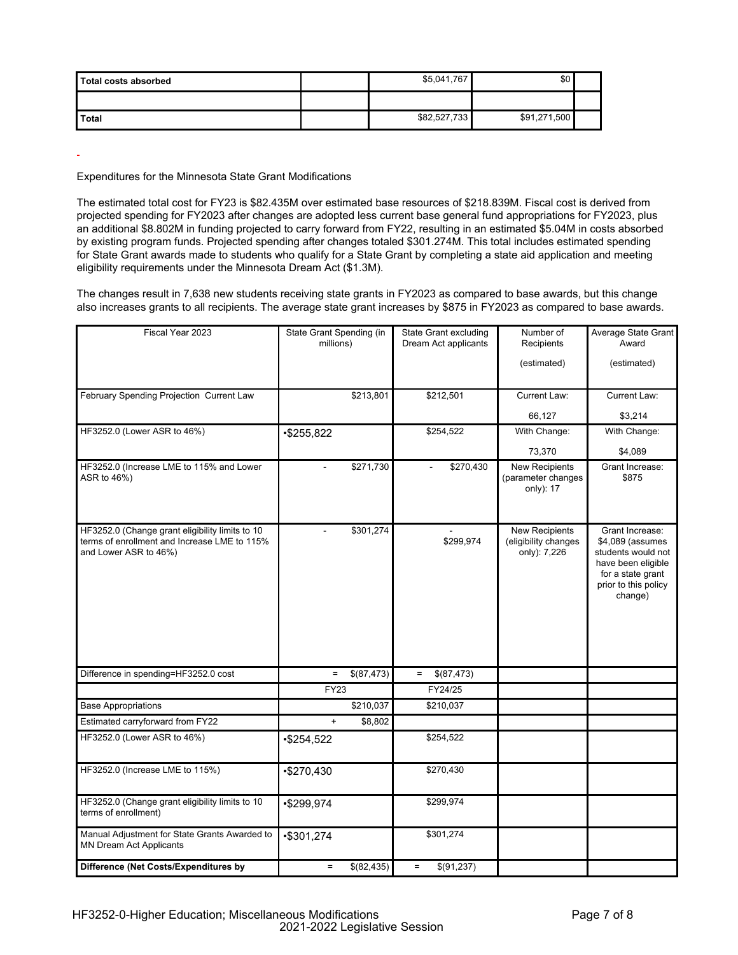| Total costs absorbed | \$5,041,767  | \$0          |  |
|----------------------|--------------|--------------|--|
|                      |              |              |  |
| <b>Total</b>         | \$82,527,733 | \$91,271,500 |  |

# Expenditures for the Minnesota State Grant Modifications

The estimated total cost for FY23 is \$82.435M over estimated base resources of \$218.839M. Fiscal cost is derived from projected spending for FY2023 after changes are adopted less current base general fund appropriations for FY2023, plus an additional \$8.802M in funding projected to carry forward from FY22, resulting in an estimated \$5.04M in costs absorbed by existing program funds. Projected spending after changes totaled \$301.274M. This total includes estimated spending for State Grant awards made to students who qualify for a State Grant by completing a state aid application and meeting eligibility requirements under the Minnesota Dream Act (\$1.3M).

The changes result in 7,638 new students receiving state grants in FY2023 as compared to base awards, but this change also increases grants to all recipients. The average state grant increases by \$875 in FY2023 as compared to base awards.

| Fiscal Year 2023                                                                                                         | State Grant Spending (in<br>millions) | <b>State Grant excluding</b><br>Dream Act applicants | Number of<br>Recipients<br>(estimated)                        | Average State Grant<br>Award<br>(estimated)                                                                                             |
|--------------------------------------------------------------------------------------------------------------------------|---------------------------------------|------------------------------------------------------|---------------------------------------------------------------|-----------------------------------------------------------------------------------------------------------------------------------------|
| February Spending Projection Current Law                                                                                 | \$213,801                             | \$212,501                                            | <b>Current Law:</b>                                           | Current Law:                                                                                                                            |
|                                                                                                                          |                                       |                                                      | 66,127                                                        | \$3,214                                                                                                                                 |
| HF3252.0 (Lower ASR to 46%)                                                                                              | $*$255,822$                           | \$254,522                                            | With Change:                                                  | With Change:                                                                                                                            |
|                                                                                                                          |                                       |                                                      | 73,370                                                        | \$4,089                                                                                                                                 |
| HF3252.0 (Increase LME to 115% and Lower<br>ASR to 46%)                                                                  | \$271,730                             | \$270,430                                            | <b>New Recipients</b><br>(parameter changes<br>only): 17      | Grant Increase:<br>\$875                                                                                                                |
| HF3252.0 (Change grant eligibility limits to 10<br>terms of enrollment and Increase LME to 115%<br>and Lower ASR to 46%) | \$301,274                             | \$299,974                                            | <b>New Recipients</b><br>(eligibility changes<br>only): 7,226 | Grant Increase:<br>\$4,089 (assumes<br>students would not<br>have been eligible<br>for a state grant<br>prior to this policy<br>change) |
| Difference in spending=HF3252.0 cost                                                                                     | \$(87,473)<br>$\equiv$                | \$(87,473)<br>$\equiv$                               |                                                               |                                                                                                                                         |
|                                                                                                                          | <b>FY23</b>                           | FY24/25                                              |                                                               |                                                                                                                                         |
| <b>Base Appropriations</b>                                                                                               | \$210,037                             | \$210,037                                            |                                                               |                                                                                                                                         |
| Estimated carryforward from FY22                                                                                         | $\ddot{}$<br>\$8,802                  |                                                      |                                                               |                                                                                                                                         |
| HF3252.0 (Lower ASR to 46%)                                                                                              | $*$254,522$                           | \$254,522                                            |                                                               |                                                                                                                                         |
| HF3252.0 (Increase LME to 115%)                                                                                          | $*$270,430$                           | \$270,430                                            |                                                               |                                                                                                                                         |
| HF3252.0 (Change grant eligibility limits to 10<br>terms of enrollment)                                                  | •\$299,974                            | \$299,974                                            |                                                               |                                                                                                                                         |
| Manual Adjustment for State Grants Awarded to<br><b>MN Dream Act Applicants</b>                                          | •\$301,274                            | \$301,274                                            |                                                               |                                                                                                                                         |
| Difference (Net Costs/Expenditures by                                                                                    | \$(82,435)<br>$\equiv$                | \$(91,237)<br>$=$                                    |                                                               |                                                                                                                                         |